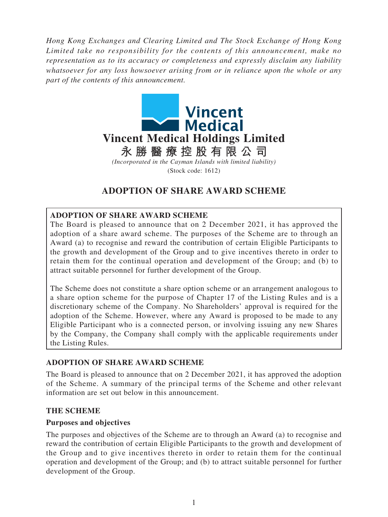*Hong Kong Exchanges and Clearing Limited and The Stock Exchange of Hong Kong Limited take no responsibility for the contents of this announcement, make no representation as to its accuracy or completeness and expressly disclaim any liability whatsoever for any loss howsoever arising from or in reliance upon the whole or any part of the contents of this announcement.*



# **ADOPTION OF SHARE AWARD SCHEME**

# **ADOPTION OF SHARE AWARD SCHEME**

The Board is pleased to announce that on 2 December 2021, it has approved the adoption of a share award scheme. The purposes of the Scheme are to through an Award (a) to recognise and reward the contribution of certain Eligible Participants to the growth and development of the Group and to give incentives thereto in order to retain them for the continual operation and development of the Group; and (b) to attract suitable personnel for further development of the Group.

The Scheme does not constitute a share option scheme or an arrangement analogous to a share option scheme for the purpose of Chapter 17 of the Listing Rules and is a discretionary scheme of the Company. No Shareholders' approval is required for the adoption of the Scheme. However, where any Award is proposed to be made to any Eligible Participant who is a connected person, or involving issuing any new Shares by the Company, the Company shall comply with the applicable requirements under the Listing Rules.

### **ADOPTION OF SHARE AWARD SCHEME**

The Board is pleased to announce that on 2 December 2021, it has approved the adoption of the Scheme. A summary of the principal terms of the Scheme and other relevant information are set out below in this announcement.

#### **THE SCHEME**

#### **Purposes and objectives**

The purposes and objectives of the Scheme are to through an Award (a) to recognise and reward the contribution of certain Eligible Participants to the growth and development of the Group and to give incentives thereto in order to retain them for the continual operation and development of the Group; and (b) to attract suitable personnel for further development of the Group.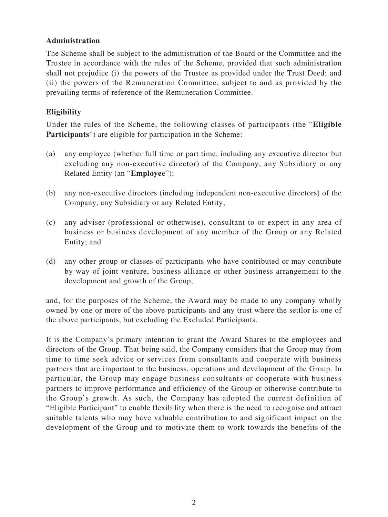# **Administration**

The Scheme shall be subject to the administration of the Board or the Committee and the Trustee in accordance with the rules of the Scheme, provided that such administration shall not prejudice (i) the powers of the Trustee as provided under the Trust Deed; and (ii) the powers of the Remuneration Committee, subject to and as provided by the prevailing terms of reference of the Remuneration Committee.

# **Eligibility**

Under the rules of the Scheme, the following classes of participants (the "**Eligible Participants**") are eligible for participation in the Scheme:

- (a) any employee (whether full time or part time, including any executive director but excluding any non-executive director) of the Company, any Subsidiary or any Related Entity (an "**Employee**");
- (b) any non-executive directors (including independent non-executive directors) of the Company, any Subsidiary or any Related Entity;
- (c) any adviser (professional or otherwise), consultant to or expert in any area of business or business development of any member of the Group or any Related Entity; and
- (d) any other group or classes of participants who have contributed or may contribute by way of joint venture, business alliance or other business arrangement to the development and growth of the Group,

and, for the purposes of the Scheme, the Award may be made to any company wholly owned by one or more of the above participants and any trust where the settlor is one of the above participants, but excluding the Excluded Participants.

It is the Company's primary intention to grant the Award Shares to the employees and directors of the Group. That being said, the Company considers that the Group may from time to time seek advice or services from consultants and cooperate with business partners that are important to the business, operations and development of the Group. In particular, the Group may engage business consultants or cooperate with business partners to improve performance and efficiency of the Group or otherwise contribute to the Group's growth. As such, the Company has adopted the current definition of "Eligible Participant" to enable flexibility when there is the need to recognise and attract suitable talents who may have valuable contribution to and significant impact on the development of the Group and to motivate them to work towards the benefits of the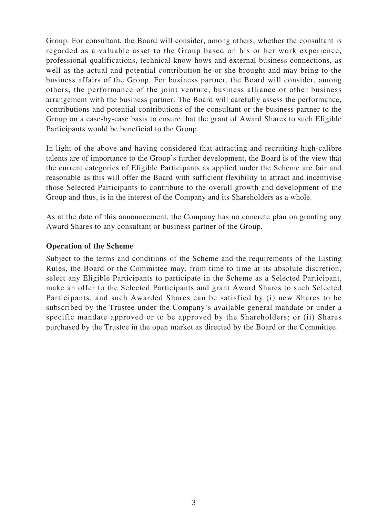Group. For consultant, the Board will consider, among others, whether the consultant is regarded as a valuable asset to the Group based on his or her work experience, professional qualifications, technical know-hows and external business connections, as well as the actual and potential contribution he or she brought and may bring to the business affairs of the Group. For business partner, the Board will consider, among others, the performance of the joint venture, business alliance or other business arrangement with the business partner. The Board will carefully assess the performance, contributions and potential contributions of the consultant or the business partner to the Group on a case-by-case basis to ensure that the grant of Award Shares to such Eligible Participants would be beneficial to the Group.

In light of the above and having considered that attracting and recruiting high-calibre talents are of importance to the Group's further development, the Board is of the view that the current categories of Eligible Participants as applied under the Scheme are fair and reasonable as this will offer the Board with sufficient flexibility to attract and incentivise those Selected Participants to contribute to the overall growth and development of the Group and thus, is in the interest of the Company and its Shareholders as a whole.

As at the date of this announcement, the Company has no concrete plan on granting any Award Shares to any consultant or business partner of the Group.

#### **Operation of the Scheme**

Subject to the terms and conditions of the Scheme and the requirements of the Listing Rules, the Board or the Committee may, from time to time at its absolute discretion, select any Eligible Participants to participate in the Scheme as a Selected Participant, make an offer to the Selected Participants and grant Award Shares to such Selected Participants, and such Awarded Shares can be satisfied by (i) new Shares to be subscribed by the Trustee under the Company's available general mandate or under a specific mandate approved or to be approved by the Shareholders; or (ii) Shares purchased by the Trustee in the open market as directed by the Board or the Committee.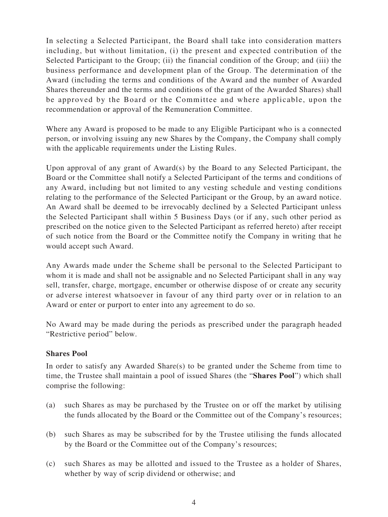In selecting a Selected Participant, the Board shall take into consideration matters including, but without limitation, (i) the present and expected contribution of the Selected Participant to the Group; (ii) the financial condition of the Group; and (iii) the business performance and development plan of the Group. The determination of the Award (including the terms and conditions of the Award and the number of Awarded Shares thereunder and the terms and conditions of the grant of the Awarded Shares) shall be approved by the Board or the Committee and where applicable, upon the recommendation or approval of the Remuneration Committee.

Where any Award is proposed to be made to any Eligible Participant who is a connected person, or involving issuing any new Shares by the Company, the Company shall comply with the applicable requirements under the Listing Rules.

Upon approval of any grant of Award(s) by the Board to any Selected Participant, the Board or the Committee shall notify a Selected Participant of the terms and conditions of any Award, including but not limited to any vesting schedule and vesting conditions relating to the performance of the Selected Participant or the Group, by an award notice. An Award shall be deemed to be irrevocably declined by a Selected Participant unless the Selected Participant shall within 5 Business Days (or if any, such other period as prescribed on the notice given to the Selected Participant as referred hereto) after receipt of such notice from the Board or the Committee notify the Company in writing that he would accept such Award.

Any Awards made under the Scheme shall be personal to the Selected Participant to whom it is made and shall not be assignable and no Selected Participant shall in any way sell, transfer, charge, mortgage, encumber or otherwise dispose of or create any security or adverse interest whatsoever in favour of any third party over or in relation to an Award or enter or purport to enter into any agreement to do so.

No Award may be made during the periods as prescribed under the paragraph headed "Restrictive period" below.

### **Shares Pool**

In order to satisfy any Awarded Share(s) to be granted under the Scheme from time to time, the Trustee shall maintain a pool of issued Shares (the "**Shares Pool**") which shall comprise the following:

- (a) such Shares as may be purchased by the Trustee on or off the market by utilising the funds allocated by the Board or the Committee out of the Company's resources;
- (b) such Shares as may be subscribed for by the Trustee utilising the funds allocated by the Board or the Committee out of the Company's resources;
- (c) such Shares as may be allotted and issued to the Trustee as a holder of Shares, whether by way of scrip dividend or otherwise; and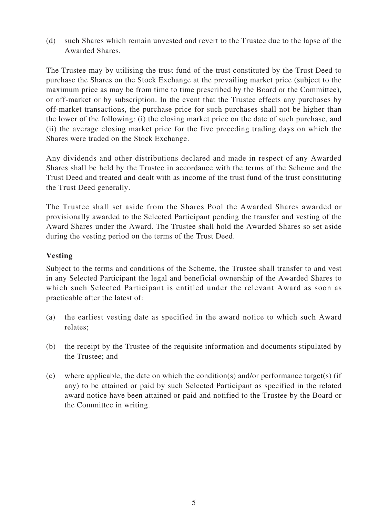(d) such Shares which remain unvested and revert to the Trustee due to the lapse of the Awarded Shares.

The Trustee may by utilising the trust fund of the trust constituted by the Trust Deed to purchase the Shares on the Stock Exchange at the prevailing market price (subject to the maximum price as may be from time to time prescribed by the Board or the Committee), or off-market or by subscription. In the event that the Trustee effects any purchases by off-market transactions, the purchase price for such purchases shall not be higher than the lower of the following: (i) the closing market price on the date of such purchase, and (ii) the average closing market price for the five preceding trading days on which the Shares were traded on the Stock Exchange.

Any dividends and other distributions declared and made in respect of any Awarded Shares shall be held by the Trustee in accordance with the terms of the Scheme and the Trust Deed and treated and dealt with as income of the trust fund of the trust constituting the Trust Deed generally.

The Trustee shall set aside from the Shares Pool the Awarded Shares awarded or provisionally awarded to the Selected Participant pending the transfer and vesting of the Award Shares under the Award. The Trustee shall hold the Awarded Shares so set aside during the vesting period on the terms of the Trust Deed.

# **Vesting**

Subject to the terms and conditions of the Scheme, the Trustee shall transfer to and vest in any Selected Participant the legal and beneficial ownership of the Awarded Shares to which such Selected Participant is entitled under the relevant Award as soon as practicable after the latest of:

- (a) the earliest vesting date as specified in the award notice to which such Award relates;
- (b) the receipt by the Trustee of the requisite information and documents stipulated by the Trustee; and
- (c) where applicable, the date on which the condition(s) and/or performance target(s) (if any) to be attained or paid by such Selected Participant as specified in the related award notice have been attained or paid and notified to the Trustee by the Board or the Committee in writing.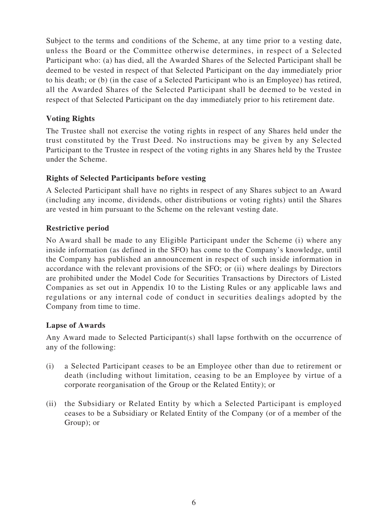Subject to the terms and conditions of the Scheme, at any time prior to a vesting date, unless the Board or the Committee otherwise determines, in respect of a Selected Participant who: (a) has died, all the Awarded Shares of the Selected Participant shall be deemed to be vested in respect of that Selected Participant on the day immediately prior to his death; or (b) (in the case of a Selected Participant who is an Employee) has retired, all the Awarded Shares of the Selected Participant shall be deemed to be vested in respect of that Selected Participant on the day immediately prior to his retirement date.

# **Voting Rights**

The Trustee shall not exercise the voting rights in respect of any Shares held under the trust constituted by the Trust Deed. No instructions may be given by any Selected Participant to the Trustee in respect of the voting rights in any Shares held by the Trustee under the Scheme.

# **Rights of Selected Participants before vesting**

A Selected Participant shall have no rights in respect of any Shares subject to an Award (including any income, dividends, other distributions or voting rights) until the Shares are vested in him pursuant to the Scheme on the relevant vesting date.

# **Restrictive period**

No Award shall be made to any Eligible Participant under the Scheme (i) where any inside information (as defined in the SFO) has come to the Company's knowledge, until the Company has published an announcement in respect of such inside information in accordance with the relevant provisions of the SFO; or (ii) where dealings by Directors are prohibited under the Model Code for Securities Transactions by Directors of Listed Companies as set out in Appendix 10 to the Listing Rules or any applicable laws and regulations or any internal code of conduct in securities dealings adopted by the Company from time to time.

### **Lapse of Awards**

Any Award made to Selected Participant(s) shall lapse forthwith on the occurrence of any of the following:

- (i) a Selected Participant ceases to be an Employee other than due to retirement or death (including without limitation, ceasing to be an Employee by virtue of a corporate reorganisation of the Group or the Related Entity); or
- (ii) the Subsidiary or Related Entity by which a Selected Participant is employed ceases to be a Subsidiary or Related Entity of the Company (or of a member of the Group); or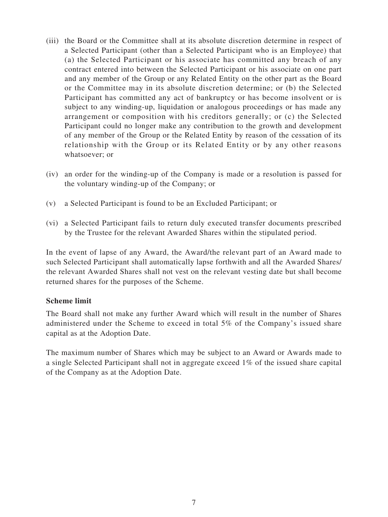- (iii) the Board or the Committee shall at its absolute discretion determine in respect of a Selected Participant (other than a Selected Participant who is an Employee) that (a) the Selected Participant or his associate has committed any breach of any contract entered into between the Selected Participant or his associate on one part and any member of the Group or any Related Entity on the other part as the Board or the Committee may in its absolute discretion determine; or (b) the Selected Participant has committed any act of bankruptcy or has become insolvent or is subject to any winding-up, liquidation or analogous proceedings or has made any arrangement or composition with his creditors generally; or (c) the Selected Participant could no longer make any contribution to the growth and development of any member of the Group or the Related Entity by reason of the cessation of its relationship with the Group or its Related Entity or by any other reasons whatsoever; or
- (iv) an order for the winding-up of the Company is made or a resolution is passed for the voluntary winding-up of the Company; or
- (v) a Selected Participant is found to be an Excluded Participant; or
- (vi) a Selected Participant fails to return duly executed transfer documents prescribed by the Trustee for the relevant Awarded Shares within the stipulated period.

In the event of lapse of any Award, the Award/the relevant part of an Award made to such Selected Participant shall automatically lapse forthwith and all the Awarded Shares/ the relevant Awarded Shares shall not vest on the relevant vesting date but shall become returned shares for the purposes of the Scheme.

### **Scheme limit**

The Board shall not make any further Award which will result in the number of Shares administered under the Scheme to exceed in total 5% of the Company's issued share capital as at the Adoption Date.

The maximum number of Shares which may be subject to an Award or Awards made to a single Selected Participant shall not in aggregate exceed 1% of the issued share capital of the Company as at the Adoption Date.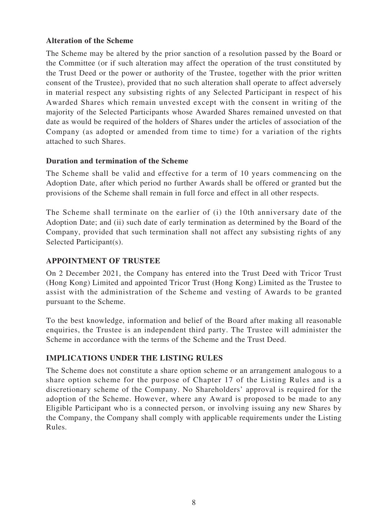### **Alteration of the Scheme**

The Scheme may be altered by the prior sanction of a resolution passed by the Board or the Committee (or if such alteration may affect the operation of the trust constituted by the Trust Deed or the power or authority of the Trustee, together with the prior written consent of the Trustee), provided that no such alteration shall operate to affect adversely in material respect any subsisting rights of any Selected Participant in respect of his Awarded Shares which remain unvested except with the consent in writing of the majority of the Selected Participants whose Awarded Shares remained unvested on that date as would be required of the holders of Shares under the articles of association of the Company (as adopted or amended from time to time) for a variation of the rights attached to such Shares.

#### **Duration and termination of the Scheme**

The Scheme shall be valid and effective for a term of 10 years commencing on the Adoption Date, after which period no further Awards shall be offered or granted but the provisions of the Scheme shall remain in full force and effect in all other respects.

The Scheme shall terminate on the earlier of (i) the 10th anniversary date of the Adoption Date; and (ii) such date of early termination as determined by the Board of the Company, provided that such termination shall not affect any subsisting rights of any Selected Participant(s).

### **APPOINTMENT OF TRUSTEE**

On 2 December 2021, the Company has entered into the Trust Deed with Tricor Trust (Hong Kong) Limited and appointed Tricor Trust (Hong Kong) Limited as the Trustee to assist with the administration of the Scheme and vesting of Awards to be granted pursuant to the Scheme.

To the best knowledge, information and belief of the Board after making all reasonable enquiries, the Trustee is an independent third party. The Trustee will administer the Scheme in accordance with the terms of the Scheme and the Trust Deed.

### **IMPLICATIONS UNDER THE LISTING RULES**

The Scheme does not constitute a share option scheme or an arrangement analogous to a share option scheme for the purpose of Chapter 17 of the Listing Rules and is a discretionary scheme of the Company. No Shareholders' approval is required for the adoption of the Scheme. However, where any Award is proposed to be made to any Eligible Participant who is a connected person, or involving issuing any new Shares by the Company, the Company shall comply with applicable requirements under the Listing Rules.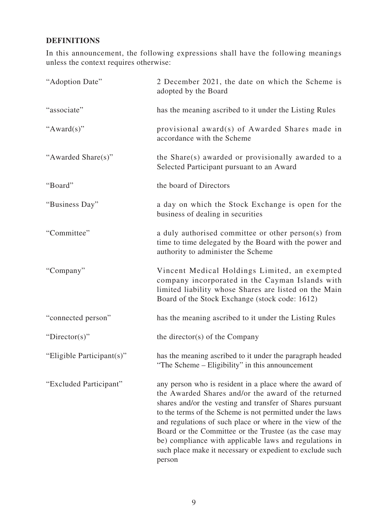# **DEFINITIONS**

In this announcement, the following expressions shall have the following meanings unless the context requires otherwise:

| "Adoption Date"           | 2 December 2021, the date on which the Scheme is<br>adopted by the Board                                                                                                                                                                                                                                                                                                                                                                                                                           |
|---------------------------|----------------------------------------------------------------------------------------------------------------------------------------------------------------------------------------------------------------------------------------------------------------------------------------------------------------------------------------------------------------------------------------------------------------------------------------------------------------------------------------------------|
| "associate"               | has the meaning ascribed to it under the Listing Rules                                                                                                                                                                                                                                                                                                                                                                                                                                             |
| " $Award(s)$ "            | provisional award(s) of Awarded Shares made in<br>accordance with the Scheme                                                                                                                                                                                                                                                                                                                                                                                                                       |
| "Awarded Share(s)"        | the Share(s) awarded or provisionally awarded to a<br>Selected Participant pursuant to an Award                                                                                                                                                                                                                                                                                                                                                                                                    |
| "Board"                   | the board of Directors                                                                                                                                                                                                                                                                                                                                                                                                                                                                             |
| "Business Day"            | a day on which the Stock Exchange is open for the<br>business of dealing in securities                                                                                                                                                                                                                                                                                                                                                                                                             |
| "Committee"               | a duly authorised committee or other person(s) from<br>time to time delegated by the Board with the power and<br>authority to administer the Scheme                                                                                                                                                                                                                                                                                                                                                |
| "Company"                 | Vincent Medical Holdings Limited, an exempted<br>company incorporated in the Cayman Islands with<br>limited liability whose Shares are listed on the Main<br>Board of the Stock Exchange (stock code: 1612)                                                                                                                                                                                                                                                                                        |
| "connected person"        | has the meaning ascribed to it under the Listing Rules                                                                                                                                                                                                                                                                                                                                                                                                                                             |
| "Director(s)"             | the director(s) of the Company                                                                                                                                                                                                                                                                                                                                                                                                                                                                     |
| "Eligible Participant(s)" | has the meaning ascribed to it under the paragraph headed<br>"The Scheme – Eligibility" in this announcement                                                                                                                                                                                                                                                                                                                                                                                       |
| "Excluded Participant"    | any person who is resident in a place where the award of<br>the Awarded Shares and/or the award of the returned<br>shares and/or the vesting and transfer of Shares pursuant<br>to the terms of the Scheme is not permitted under the laws<br>and regulations of such place or where in the view of the<br>Board or the Committee or the Trustee (as the case may<br>be) compliance with applicable laws and regulations in<br>such place make it necessary or expedient to exclude such<br>person |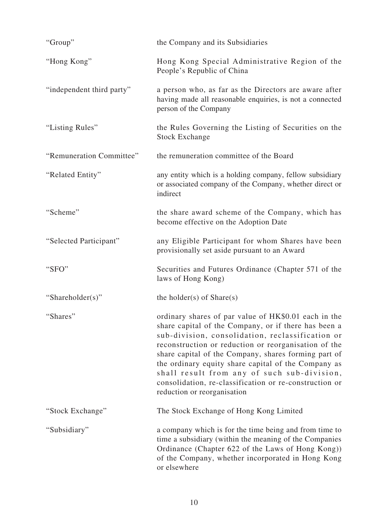| "Group"                   | the Company and its Subsidiaries                                                                                                                                                                                                                                                                                                                                                                                                                                                |
|---------------------------|---------------------------------------------------------------------------------------------------------------------------------------------------------------------------------------------------------------------------------------------------------------------------------------------------------------------------------------------------------------------------------------------------------------------------------------------------------------------------------|
| "Hong Kong"               | Hong Kong Special Administrative Region of the<br>People's Republic of China                                                                                                                                                                                                                                                                                                                                                                                                    |
| "independent third party" | a person who, as far as the Directors are aware after<br>having made all reasonable enquiries, is not a connected<br>person of the Company                                                                                                                                                                                                                                                                                                                                      |
| "Listing Rules"           | the Rules Governing the Listing of Securities on the<br><b>Stock Exchange</b>                                                                                                                                                                                                                                                                                                                                                                                                   |
| "Remuneration Committee"  | the remuneration committee of the Board                                                                                                                                                                                                                                                                                                                                                                                                                                         |
| "Related Entity"          | any entity which is a holding company, fellow subsidiary<br>or associated company of the Company, whether direct or<br>indirect                                                                                                                                                                                                                                                                                                                                                 |
| "Scheme"                  | the share award scheme of the Company, which has<br>become effective on the Adoption Date                                                                                                                                                                                                                                                                                                                                                                                       |
| "Selected Participant"    | any Eligible Participant for whom Shares have been<br>provisionally set aside pursuant to an Award                                                                                                                                                                                                                                                                                                                                                                              |
| "SFO"                     | Securities and Futures Ordinance (Chapter 571 of the<br>laws of Hong Kong)                                                                                                                                                                                                                                                                                                                                                                                                      |
| "Shareholder(s)"          | the holder(s) of $Share(s)$                                                                                                                                                                                                                                                                                                                                                                                                                                                     |
| "Shares"                  | ordinary shares of par value of HK\$0.01 each in the<br>share capital of the Company, or if there has been a<br>sub-division, consolidation, reclassification or<br>reconstruction or reduction or reorganisation of the<br>share capital of the Company, shares forming part of<br>the ordinary equity share capital of the Company as<br>shall result from any of such sub-division,<br>consolidation, re-classification or re-construction or<br>reduction or reorganisation |
| "Stock Exchange"          | The Stock Exchange of Hong Kong Limited                                                                                                                                                                                                                                                                                                                                                                                                                                         |
| "Subsidiary"              | a company which is for the time being and from time to<br>time a subsidiary (within the meaning of the Companies<br>Ordinance (Chapter 622 of the Laws of Hong Kong))<br>of the Company, whether incorporated in Hong Kong<br>or elsewhere                                                                                                                                                                                                                                      |